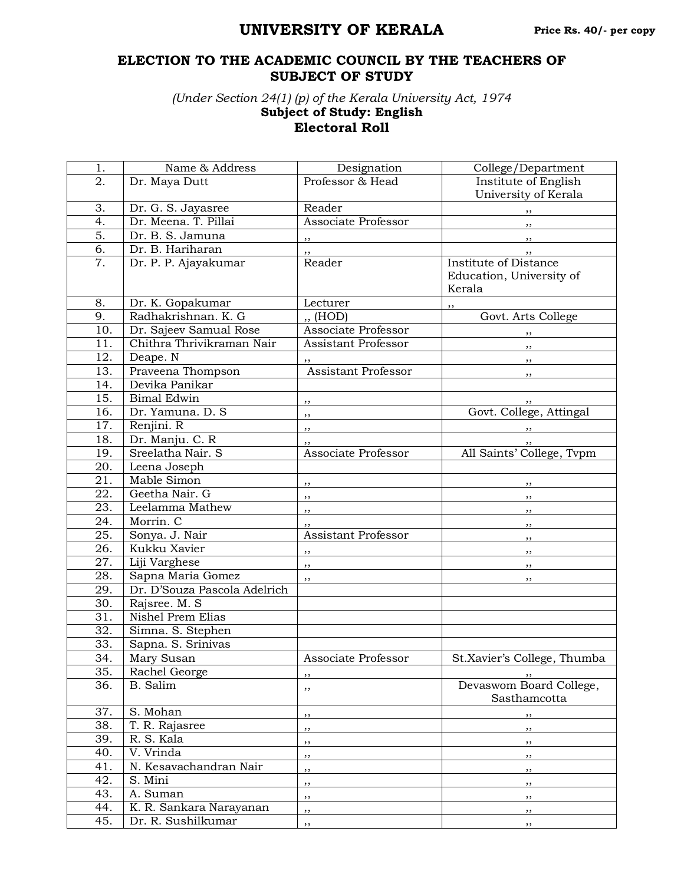## **UNIVERSITY OF KERALA**

## **ELECTION TO THE ACADEMIC COUNCIL BY THE TEACHERS OF SUBJECT OF STUDY**

*(Under Section 24(1) (p) of the Kerala University Act, 1974* **Subject of Study: English Electoral Roll**

| 1.                | Name & Address               | Designation                | College/Department          |
|-------------------|------------------------------|----------------------------|-----------------------------|
| 2.                | Dr. Maya Dutt                | Professor & Head           | Institute of English        |
|                   |                              |                            | University of Kerala        |
| 3.                | Dr. G. S. Jayasree           | Reader                     | , ,                         |
| $\overline{4}$ .  | Dr. Meena. T. Pillai         | Associate Professor        | , ,                         |
| 5.                | Dr. B. S. Jamuna             | $\cdots$                   | , ,                         |
| 6.                | Dr. B. Hariharan             | $, \, \,$                  | , ,                         |
| $\overline{7}$ .  | Dr. P. P. Ajayakumar         | Reader                     | Institute of Distance       |
|                   |                              |                            | Education, University of    |
|                   |                              |                            | Kerala                      |
| 8.                | Dr. K. Gopakumar             | Lecturer                   | , 2                         |
| 9.                | Radhakrishnan. K. G          | ,, (HOD)                   | Govt. Arts College          |
| 10.               | Dr. Sajeev Samual Rose       | Associate Professor        | $\overline{\phantom{a}}$    |
| 11.               | Chithra Thrivikraman Nair    | Assistant Professor        | $, \, \,$                   |
| 12.               | Deape. N                     |                            | $\overline{\phantom{a}}$    |
| 13.               | Praveena Thompson            | <b>Assistant Professor</b> | , ,                         |
| 14.               | Devika Panikar               |                            |                             |
| 15.               | <b>Bimal Edwin</b>           | $, \, \,$                  |                             |
| 16.               | Dr. Yamuna. D. S             | $, \, \,$                  | Govt. College, Attingal     |
| 17.               | Renjini. R                   | $, \,$                     | $\overline{\phantom{a}}$    |
| 18.               | Dr. Manju. C. R              | $, \,$                     | $, \, \,$                   |
| 19.               | Sreelatha Nair. S            | Associate Professor        | All Saints' College, Tvpm   |
| 20.               | Leena Joseph                 |                            |                             |
| 21.               | Mable Simon                  | $\overline{\phantom{a}}$   | $\overline{\phantom{a}}$    |
| 22.               | Geetha Nair. G               | $, \, \, \cdot$            | , ,                         |
| 23.               | Leelamma Mathew              | ,,                         | $, \,$                      |
| 24.               | Morrin. C                    | ,,                         | , ,                         |
| $\overline{25}$ . | Sonya. J. Nair               | <b>Assistant Professor</b> | , ,                         |
| 26.               | Kukku Xavier                 | ,,                         | , ,                         |
| 27.               | Liji Varghese                | ,,                         | , ,                         |
| 28.               | Sapna Maria Gomez            | ,,                         | , ,                         |
| 29.               | Dr. D'Souza Pascola Adelrich |                            |                             |
| 30.               | Rajsree. M. S                |                            |                             |
| 31.               | <b>Nishel Prem Elias</b>     |                            |                             |
| 32.               | Simna. S. Stephen            |                            |                             |
| 33.               | Sapna. S. Srinivas           |                            |                             |
| 34.               | Mary Susan                   | Associate Professor        | St.Xavier's College, Thumba |
| 35.               | Rachel George                | ,,                         | , ,                         |
| 36.               | B. Salim                     | , ,                        | Devaswom Board College,     |
|                   |                              |                            | Sasthamcotta                |
| 37.               | S. Mohan                     | ,,                         | $, \,$                      |
| 38.               | T. R. Rajasree               | , ,                        | ,,                          |
| 39.               | $\overline{R}$ . S. Kala     | ,,                         | $, \,$                      |
| 40.               | V. Vrinda                    | ,,                         | ,,                          |
| 41.               | N. Kesavachandran Nair       | ,,                         | ,,                          |
| 42.               | S. Mini                      | ,,                         | ,,                          |
| 43.               | A. Suman                     | ,,                         | $, \,$                      |
| 44.               | K. R. Sankara Narayanan      | ,,                         | $, \,$                      |
| 45.               | Dr. R. Sushilkumar           | ,,                         | , ,                         |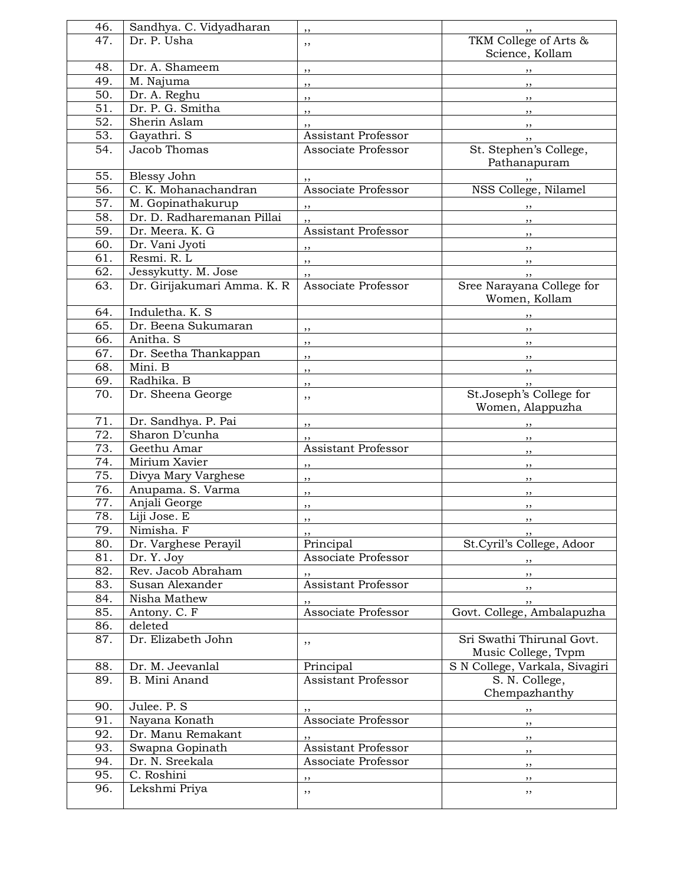| 46.               | Sandhya. C. Vidyadharan     | ,,                         |                                  |
|-------------------|-----------------------------|----------------------------|----------------------------------|
| 47.               | Dr. P. Usha                 | ,,                         | TKM College of Arts &            |
|                   |                             |                            | Science, Kollam                  |
| 48.               | Dr. A. Shameem              |                            |                                  |
| 49.               | M. Najuma                   | $, \,$                     |                                  |
| 50.               | Dr. A. Reghu                | $\overline{\phantom{a}}$   | $\overline{\phantom{a}}$         |
| $\overline{51}$ . | Dr. P. G. Smitha            | $\overline{\phantom{a}}$   | $\overline{\phantom{a}}$         |
|                   |                             | $\overline{\phantom{a}}$   | $, \, \, \cdot$                  |
| 52.               | Sherin Aslam                | , ,                        | $, \, \,$                        |
| 53.               | Gayathri. S                 | Assistant Professor        | $, \,$                           |
| 54.               | Jacob Thomas                | Associate Professor        | St. Stephen's College,           |
|                   |                             |                            | Pathanapuram                     |
| 55.               | Blessy John                 |                            | , ,                              |
| 56.               | C. K. Mohanachandran        | Associate Professor        | NSS College, Nilamel             |
| 57.               | M. Gopinathakurup           | ,,                         | , ,                              |
| 58.               | Dr. D. Radharemanan Pillai  | ,,                         | , ,                              |
| 59.               | Dr. Meera. K. G             | <b>Assistant Professor</b> | $, \,$                           |
| 60.               | Dr. Vani Jyoti              | ,,                         | $, \,$                           |
| 61.               | Resmi. R. L                 |                            |                                  |
| 62.               | Jessykutty. M. Jose         | $, \,$                     | $, \,$                           |
| 63.               | Dr. Girijakumari Amma. K. R | ,,<br>Associate Professor  | , ,<br>Sree Narayana College for |
|                   |                             |                            | Women, Kollam                    |
| 64.               | Induletha. K. S.            |                            |                                  |
| $\overline{65}$ . | Dr. Beena Sukumaran         |                            | $, \, \,$                        |
|                   |                             | $\overline{\phantom{a}}$   | $\cdots$                         |
| 66.               | Anitha. S                   | $, \,$                     | $\overline{\phantom{a}}$         |
| 67.               | Dr. Seetha Thankappan       | ,,                         | $, \,$                           |
| 68.               | Mini. B                     | , ,                        | $, \, \,$                        |
| 69.               | Radhika. B                  | ,,                         | , ,                              |
| 70.               | Dr. Sheena George           | ,,                         | St.Joseph's College for          |
|                   |                             |                            | Women, Alappuzha                 |
| 71.               | Dr. Sandhya. P. Pai         | ,,                         | $, \, \, \cdot$                  |
| 72.               | Sharon D'cunha              | ,,                         | $, \, \,$                        |
| 73.               | Geethu Amar                 | Assistant Professor        | , ,                              |
| 74.               | Mirium Xavier               | ,,                         | $, \,$                           |
| 75.               | Divya Mary Varghese         | ,,                         |                                  |
| 76.               | Anupama. S. Varma           |                            | , ,                              |
| 77.               | Anjali George               | ,,                         | $, \,$                           |
| 78.               | Liji Jose. E                | ,,                         | ,,                               |
| 79.               | Nimisha. F                  | ,,                         | $, \,$                           |
| 80.               | Dr. Varghese Perayil        | ,,<br>Principal            | St.Cyril's College, Adoor        |
|                   |                             |                            |                                  |
| 81.               | Dr. Y. Joy                  | Associate Professor        | $, \, \, \cdot$                  |
| 82.               | Rev. Jacob Abraham          |                            | $, \,$                           |
| 83.               | Susan Alexander             | Assistant Professor        | $, \, \,$                        |
| 84.               | Nisha Mathew                |                            | ,,                               |
| 85.               | Antony. C. F                | Associate Professor        | Govt. College, Ambalapuzha       |
| 86.               | deleted                     |                            |                                  |
| 87.               | Dr. Elizabeth John          | ,,                         | Sri Swathi Thirunal Govt.        |
|                   |                             |                            | Music College, Tvpm              |
| 88.               | Dr. M. Jeevanlal            | Principal                  | S N College, Varkala, Sivagiri   |
| 89.               | B. Mini Anand               | <b>Assistant Professor</b> | S. N. College,                   |
|                   |                             |                            | Chempazhanthy                    |
| 90.               | Julee. P. S.                |                            | , ,                              |
| 91.               | Nayana Konath               | Associate Professor        | , ,                              |
| 92.               | Dr. Manu Remakant           |                            | $, \,$                           |
| 93.               | Swapna Gopinath             | Assistant Professor        |                                  |
| 94.               | Dr. N. Sreekala             | Associate Professor        | $, \,$                           |
| 95.               | C. Roshini                  |                            | $, \,$                           |
| 96.               |                             | ,,                         | $, \,$                           |
|                   | Lekshmi Priya               | ,,                         | , ,                              |
|                   |                             |                            |                                  |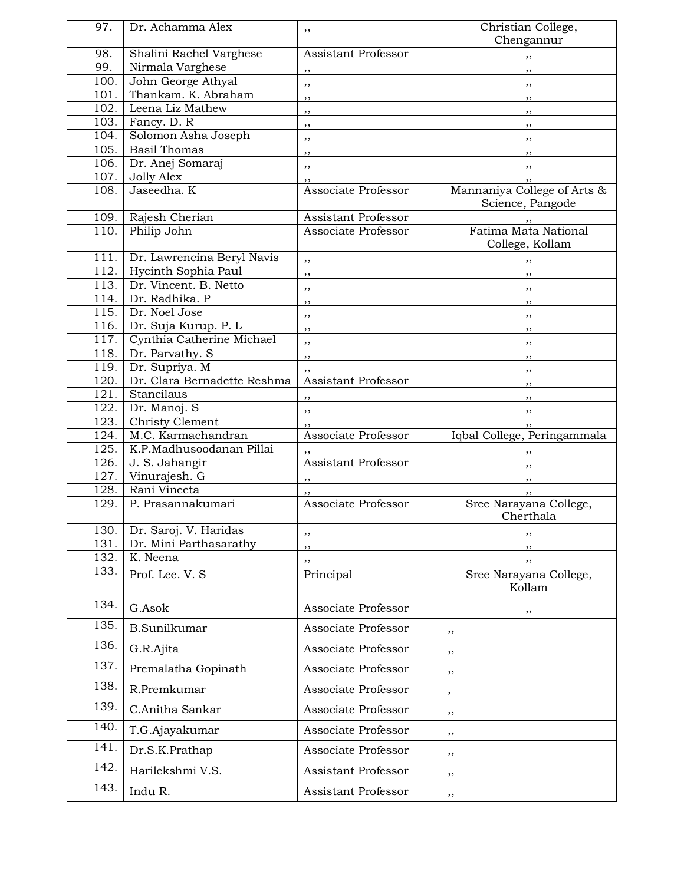| 97.          | Dr. Achamma Alex                              | ,,                                         | Christian College,<br>Chengannur                |
|--------------|-----------------------------------------------|--------------------------------------------|-------------------------------------------------|
| 98.          | Shalini Rachel Varghese                       | Assistant Professor                        | , ,                                             |
| 99.          | Nirmala Varghese                              | $, \, \,$                                  | $\overline{\phantom{a}}$                        |
| 100.         | John George Athyal                            | $\overline{\phantom{a}}$                   | $\overline{\phantom{a}}$                        |
| 101.         | Thankam, K. Abraham                           | $\overline{\phantom{a}}$                   | $, \, \, \cdot$                                 |
| 102.         | Leena Liz Mathew                              | $, \, \,$                                  | $\overline{\phantom{a}}$                        |
| 103.         | Fancy. D. R                                   | ,,                                         | $, \,$                                          |
| 104.         | Solomon Asha Joseph                           | $, \,$                                     | , ,                                             |
| 105.         | <b>Basil Thomas</b>                           | $, \, \,$                                  | $, \,$                                          |
| 106.         | Dr. Anej Somaraj                              | $, \, \,$                                  | , ,                                             |
| 107.         | <b>Jolly Alex</b>                             | ,,                                         | , ,                                             |
| 108.         | Jaseedha. K                                   | Associate Professor                        | Mannaniya College of Arts &<br>Science, Pangode |
| 109.         | Rajesh Cherian                                | Assistant Professor                        | $, \,$                                          |
| 110.         | Philip John                                   | Associate Professor                        | <b>Fatima Mata National</b><br>College, Kollam  |
| 111.         | Dr. Lawrencina Beryl Navis                    | ,,                                         | , ,                                             |
| 112.         | Hycinth Sophia Paul                           | $, \,$                                     | $, \, , \,$                                     |
| 113.         | Dr. Vincent. B. Netto                         | ,,                                         | $, \,$                                          |
| 114.         | Dr. Radhika. P                                | $\overline{\mathbf{r}}$                    | $, \, \,$                                       |
| 115.         | Dr. Noel Jose                                 | ,,                                         | $\overline{\phantom{a}}$                        |
| 116.         | Dr. Suja Kurup. P. L                          | ,,                                         | $\overline{\phantom{a}}$                        |
| 117.         | Cynthia Catherine Michael                     | , ,                                        | $\overline{\phantom{a}}$                        |
| 118.         | Dr. Parvathy. S                               | $, \,$                                     | , ,                                             |
| 119.         | Dr. Supriya. M<br>Dr. Clara Bernadette Reshma | ,,<br>Assistant Professor                  | $, \, \,$                                       |
| 120.<br>121. | Stancilaus                                    |                                            | $, \,$                                          |
| 122.         | Dr. Manoj. S                                  | ,,                                         | $\overline{\phantom{a}}$                        |
| 123.         | Christy Clement                               | $, \,$                                     | $\overline{\phantom{a}}$                        |
| 124.         | M.C. Karmachandran                            | , ,<br>Associate Professor                 | Iqbal College, Peringammala                     |
| 125.         | K.P.Madhusoodanan Pillai                      |                                            |                                                 |
| 126.         | J. S. Jahangir                                | ,,<br>Assistant Professor                  | $\overline{\phantom{a}}$                        |
| 127.         | Vinurajesh. G                                 | ,,                                         | $\overline{\phantom{a}}$                        |
| 128.         | Rani Vineeta                                  | ,,                                         | $, \, \,$                                       |
| 129.         | P. Prasannakumari                             | Associate Professor                        | Sree Narayana College,<br>Cherthala             |
| 130.         | Dr. Saroj. V. Haridas                         | ,,                                         | ,,                                              |
| 131.         | Dr. Mini Parthasarathy                        | ,,                                         |                                                 |
| 132.         | K. Neena                                      | ,,                                         | $, \,$                                          |
| 133.         | Prof. Lee. V. S                               | Principal                                  | Sree Narayana College,<br>Kollam                |
| 134.         | G.Asok                                        | Associate Professor                        | ,,                                              |
| 135.         | <b>B.Sunilkumar</b>                           | Associate Professor                        | ,,                                              |
| 136.         | G.R.Ajita                                     | Associate Professor                        | ,,                                              |
| 137.<br>138. | Premalatha Gopinath                           | Associate Professor                        | ,,                                              |
| 139.         | R.Premkumar                                   | Associate Professor                        | $\, \,$                                         |
| 140.         | C.Anitha Sankar                               | Associate Professor                        | ,,                                              |
| 141.         | T.G.Ajayakumar                                | Associate Professor<br>Associate Professor | ,,                                              |
| 142.         | Dr.S.K.Prathap<br>Harilekshmi V.S.            | Assistant Professor                        | $, \,$                                          |
| 143.         | Indu R.                                       | Assistant Professor                        | $, \,$                                          |
|              |                                               |                                            | , ,                                             |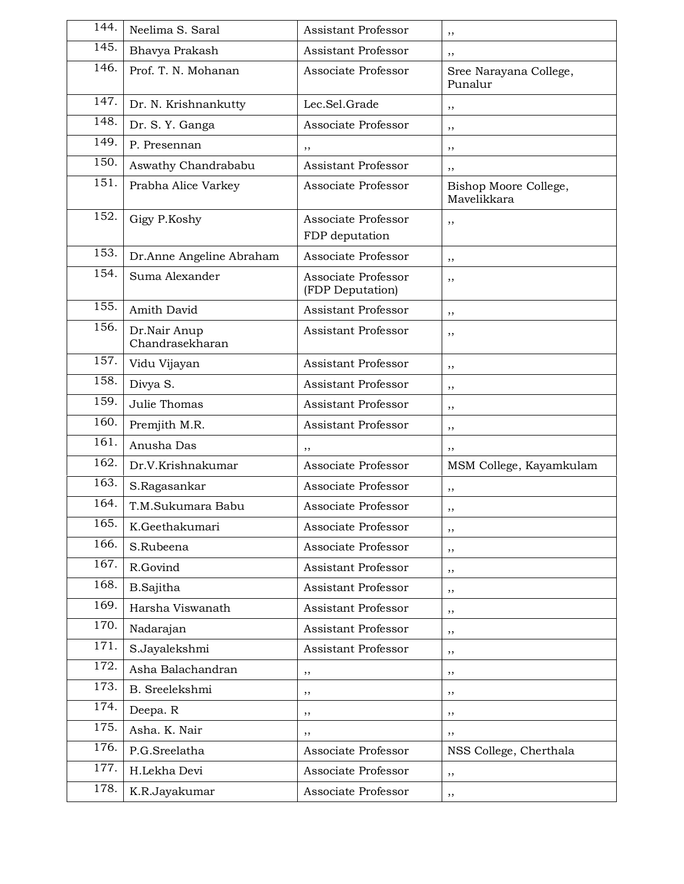| 144.              | Neelima S. Saral                | <b>Assistant Professor</b>              | ,,                                   |
|-------------------|---------------------------------|-----------------------------------------|--------------------------------------|
| 145.              | Bhavya Prakash                  | <b>Assistant Professor</b>              | ,,                                   |
| 146.              | Prof. T. N. Mohanan             | Associate Professor                     | Sree Narayana College,<br>Punalur    |
| 147.              | Dr. N. Krishnankutty            | Lec.Sel.Grade                           | ,,                                   |
| 148.              | Dr. S. Y. Ganga                 | Associate Professor                     | ,,                                   |
| 149.              | P. Presennan                    | ,,                                      | ,,                                   |
| 150.              | Aswathy Chandrababu             | Assistant Professor                     | ,,                                   |
| 151.              | Prabha Alice Varkey             | Associate Professor                     | Bishop Moore College,<br>Mavelikkara |
| 152.              | Gigy P.Koshy                    | Associate Professor<br>FDP deputation   | ,,                                   |
| 153.              | Dr.Anne Angeline Abraham        | Associate Professor                     | ,,                                   |
| 154.              | Suma Alexander                  | Associate Professor<br>(FDP Deputation) | ,,                                   |
| 155.              | Amith David                     | Assistant Professor                     | ,,                                   |
| 156.              | Dr.Nair Anup<br>Chandrasekharan | <b>Assistant Professor</b>              | ,,                                   |
| $\overline{1}57.$ | Vidu Vijayan                    | <b>Assistant Professor</b>              | ,,                                   |
| 158.              | Divya S.                        | Assistant Professor                     | ,,                                   |
| 159.              | Julie Thomas                    | Assistant Professor                     | ,,                                   |
| 160.              | Premjith M.R.                   | Assistant Professor                     | ,,                                   |
| 161.              | Anusha Das                      | ,,                                      | ,,                                   |
| 162.              | Dr.V.Krishnakumar               | Associate Professor                     | MSM College, Kayamkulam              |
| 163.              | S.Ragasankar                    | Associate Professor                     | ,,                                   |
| 164.              | T.M.Sukumara Babu               | Associate Professor                     | ,,                                   |
| 165.              | K.Geethakumari                  | Associate Professor                     | ,,                                   |
| 166.              | S.Rubeena                       | Associate Professor                     | ,,                                   |
| 167.              | R.Govind                        | Assistant Professor                     | ,,                                   |
| 168.              | <b>B.Sajitha</b>                | Assistant Professor                     | ,,                                   |
| 169.              | Harsha Viswanath                | Assistant Professor                     | ,,                                   |
| 170.              | Nadarajan                       | Assistant Professor                     | ,,                                   |
| 171.              | S.Jayalekshmi                   | Assistant Professor                     | ,,                                   |
| 172.              | Asha Balachandran               | ,,                                      | ,,                                   |
| 173.              | B. Sreelekshmi                  | ,,                                      | ,,                                   |
| 174.              | Deepa. R                        | ,,                                      | ,,                                   |
| 175.              | Asha. K. Nair                   | ,,                                      | ,,                                   |
| 176.              | P.G.Sreelatha                   | Associate Professor                     | NSS College, Cherthala               |
| 177.              | H.Lekha Devi                    | Associate Professor                     | , ,                                  |
| 178.              | K.R.Jayakumar                   | Associate Professor                     | ,,                                   |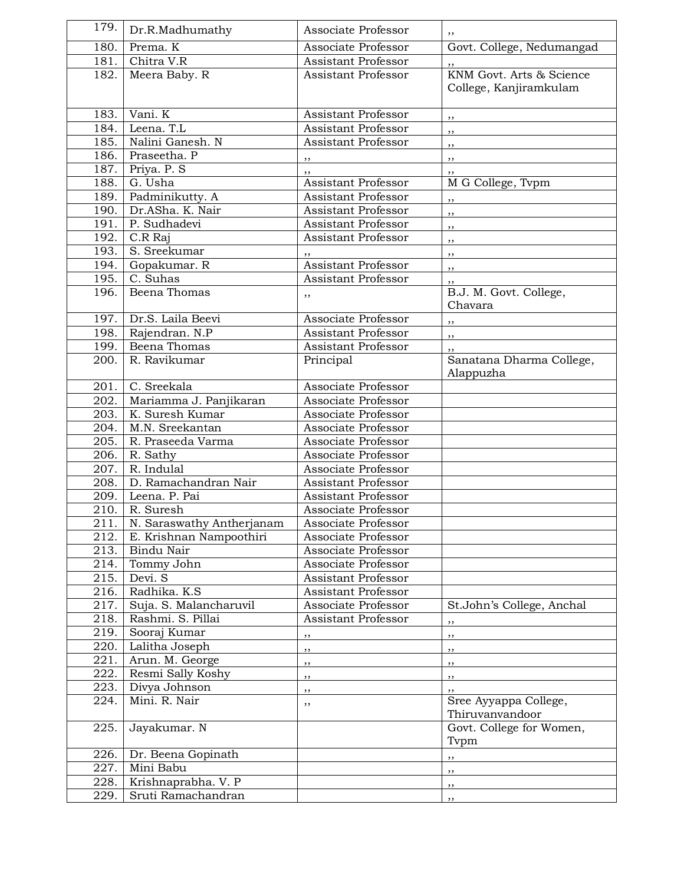| 179.               | Dr.R.Madhumathy                 | Associate Professor                        |                             |
|--------------------|---------------------------------|--------------------------------------------|-----------------------------|
| 180.               | Prema. K                        | Associate Professor                        | Govt. College, Nedumangad   |
| 181.               | Chitra V.R                      | Assistant Professor                        |                             |
| 182.               | Meera Baby. R                   | Assistant Professor                        | KNM Govt. Arts & Science    |
|                    |                                 |                                            | College, Kanjiramkulam      |
|                    |                                 |                                            |                             |
| 183.               | Vani. K                         | Assistant Professor                        | $, \,$                      |
| 184.               | Leena. T.L                      | Assistant Professor                        | $, \,$                      |
| 185.               | Nalini Ganesh. N                | Assistant Professor                        | ,,                          |
| 186.               | Praseetha. P                    | ,,                                         | ,,                          |
| 187.               | Priya. P. S                     |                                            | ,,                          |
| 188.               | G. Usha                         | Assistant Professor                        | M G College, Tvpm           |
| 189.               | Padminikutty. A                 | Assistant Professor                        | ,,                          |
| $\overline{190}$ . | Dr.ASha. K. Nair                | Assistant Professor                        | ,,                          |
| 191.               | P. Sudhadevi                    | Assistant Professor                        | ,,                          |
| 192.               | C.R Raj                         | <b>Assistant Professor</b>                 | , ,                         |
| 193.               | S. Sreekumar                    |                                            | , ,                         |
| 194.               | Gopakumar. R                    | <b>Assistant Professor</b>                 | ,,                          |
| 195.               | C. Suhas                        | Assistant Professor                        | , ,                         |
| 196.               | Beena Thomas                    | ,,                                         | B.J. M. Govt. College,      |
|                    |                                 |                                            | Chavara                     |
| 197.               | Dr.S. Laila Beevi               | Associate Professor                        | ,,                          |
| 198.               | Rajendran. N.P                  | Assistant Professor                        | ,,                          |
| 199.               | Beena Thomas                    | Assistant Professor                        |                             |
| 200.               | R. Ravikumar                    | Principal                                  | Sanatana Dharma College,    |
|                    |                                 |                                            | Alappuzha                   |
| 201.               | $\overline{C}$ . Sreekala       | Associate Professor                        |                             |
| 202.               | Mariamma J. Panjikaran          | Associate Professor                        |                             |
| 203.               | K. Suresh Kumar                 | Associate Professor                        |                             |
| 204.               | M.N. Sreekantan                 | Associate Professor                        |                             |
| 205.<br>206.       | R. Praseeda Varma               | Associate Professor<br>Associate Professor |                             |
| 207.               | R. Sathy<br>R. Indulal          | Associate Professor                        |                             |
| 208.               | D. Ramachandran Nair            | Assistant Professor                        |                             |
| 209.               | Leena. P. Pai                   | Assistant Professor                        |                             |
| 210.               | R. Suresh                       | Associate Professor                        |                             |
|                    | 211. N. Saraswathy Antherjanam  | Associate Professor                        |                             |
| 212.               | E. Krishnan Nampoothiri         | Associate Professor                        |                             |
| 213.               | Bindu Nair                      | Associate Professor                        |                             |
| 214.               | Tommy John                      | Associate Professor                        |                             |
| 215.               | Devi. S                         | <b>Assistant Professor</b>                 |                             |
| 216.               | Radhika. K.S.                   | Assistant Professor                        |                             |
| 217.               | Suja. S. Malancharuvil          | Associate Professor                        | St.John's College, Anchal   |
| 218.               | Rashmi. S. Pillai               | Assistant Professor                        |                             |
| 219.               | Sooraj Kumar                    | ,,                                         | ,,<br>,,                    |
| 220.               | Lalitha Joseph                  |                                            |                             |
| 221.               | Arun. M. George                 | ,,                                         | ,,                          |
| 222.               | Resmi Sally Koshy               | ,,                                         | ,,                          |
| 223.               | Divya Johnson                   | ,,                                         | ,,                          |
| 224.               | Mini. R. Nair                   | ,,<br>,,                                   | ,,<br>Sree Ayyappa College, |
|                    |                                 |                                            | Thiruvanvandoor             |
| 225.               | Jayakumar. N                    |                                            | Govt. College for Women,    |
|                    |                                 |                                            | Tvpm                        |
| 226.<br>227.       | Dr. Beena Gopinath<br>Mini Babu |                                            | ,,                          |
| 228.               | Krishnaprabha. V. P             |                                            | $, \,$                      |
|                    |                                 |                                            | ,,                          |
| 229.               | Sruti Ramachandran              |                                            | , ,                         |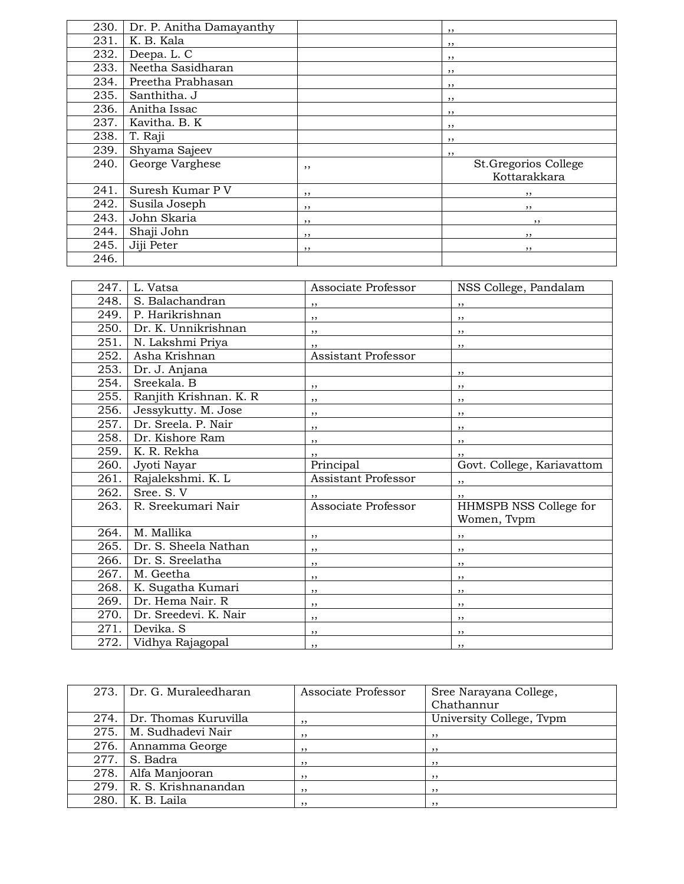| 230. | Dr. P. Anitha Damayanthy |     | ,,                                   |
|------|--------------------------|-----|--------------------------------------|
| 231. | K. B. Kala               |     | ,,                                   |
| 232. | Deepa. L. C              |     | ,,                                   |
| 233. | Neetha Sasidharan        |     | ,,                                   |
| 234. | Preetha Prabhasan        |     | , ,                                  |
| 235. | Santhitha. J             |     | , ,                                  |
| 236. | Anitha Issac             |     | , ,                                  |
| 237. | Kavitha. B. K            |     | ,,                                   |
| 238. | T. Raji                  |     | ,,                                   |
| 239. | Shyama Sajeev            |     | ,,                                   |
| 240. | George Varghese          | , , | St.Gregorios College<br>Kottarakkara |
| 241. | Suresh Kumar P V         | , , | , ,                                  |
| 242. | Susila Joseph            | , , | , ,                                  |
| 243. | John Skaria              | , , | ,,                                   |
| 244. | Shaji John               | , , | , ,                                  |
| 245. | Jiji Peter               | ,,  | , ,                                  |
| 246. |                          |     |                                      |

| 247. | L. Vatsa               | Associate Professor        | NSS College, Pandalam      |
|------|------------------------|----------------------------|----------------------------|
| 248. | S. Balachandran        | , ,                        | ,,                         |
| 249. | P. Harikrishnan        | , ,                        | , ,                        |
| 250. | Dr. K. Unnikrishnan    | , ,                        | , ,                        |
| 251. | N. Lakshmi Priya       | , ,                        | ,,                         |
| 252. | Asha Krishnan          | <b>Assistant Professor</b> |                            |
| 253. | Dr. J. Anjana          |                            | ,,                         |
| 254. | Sreekala, B            | , ,                        | , ,                        |
| 255. | Ranjith Krishnan. K. R | , ,                        | , ,                        |
| 256. | Jessykutty. M. Jose    | , ,                        | , ,                        |
| 257. | Dr. Sreela. P. Nair    | ,,                         | ,,                         |
| 258. | Dr. Kishore Ram        | , ,                        | , ,                        |
| 259. | K. R. Rekha            |                            |                            |
| 260. | Jyoti Nayar            | Principal                  | Govt. College, Kariavattom |
| 261. | Rajalekshmi. K. L      | <b>Assistant Professor</b> | , ,                        |
| 262. | Sree. S. V             |                            |                            |
| 263. | R. Sreekumari Nair     | Associate Professor        | HHMSPB NSS College for     |
|      |                        |                            | Women, Tvpm                |
| 264. | M. Mallika             | , ,                        | , ,                        |
| 265. | Dr. S. Sheela Nathan   | , ,                        | , ,                        |
| 266. | Dr. S. Sreelatha       | , ,                        | , ,                        |
| 267. | M. Geetha              | ,,                         | , ,                        |
| 268. | K. Sugatha Kumari      | ,,                         | ,,                         |
| 269. | Dr. Hema Nair. R       | , ,                        | , ,                        |
| 270. | Dr. Sreedevi. K. Nair  | ,,                         | ,,                         |
| 271. | Devika. S              | , ,                        | ,,                         |
| 272. | Vidhya Rajagopal       | ,,                         | ,,                         |

|      | 273. Dr. G. Muraleedharan | Associate Professor | Sree Narayana College,   |
|------|---------------------------|---------------------|--------------------------|
|      |                           |                     | Chathannur               |
| 274. | Dr. Thomas Kuruvilla      | ,,                  | University College, Tvpm |
| 275. | M. Sudhadevi Nair         | , ,                 | , ,                      |
| 276. | Annamma George            | ,,                  | ,,                       |
| 277. | S. Badra                  | ,,                  | ,,                       |
| 278. | Alfa Manjooran            | ,,                  | , ,                      |
| 279. | R. S. Krishnanandan       | , ,                 | , ,                      |
| 280. | K. B. Laila               | ,,                  | ,,                       |